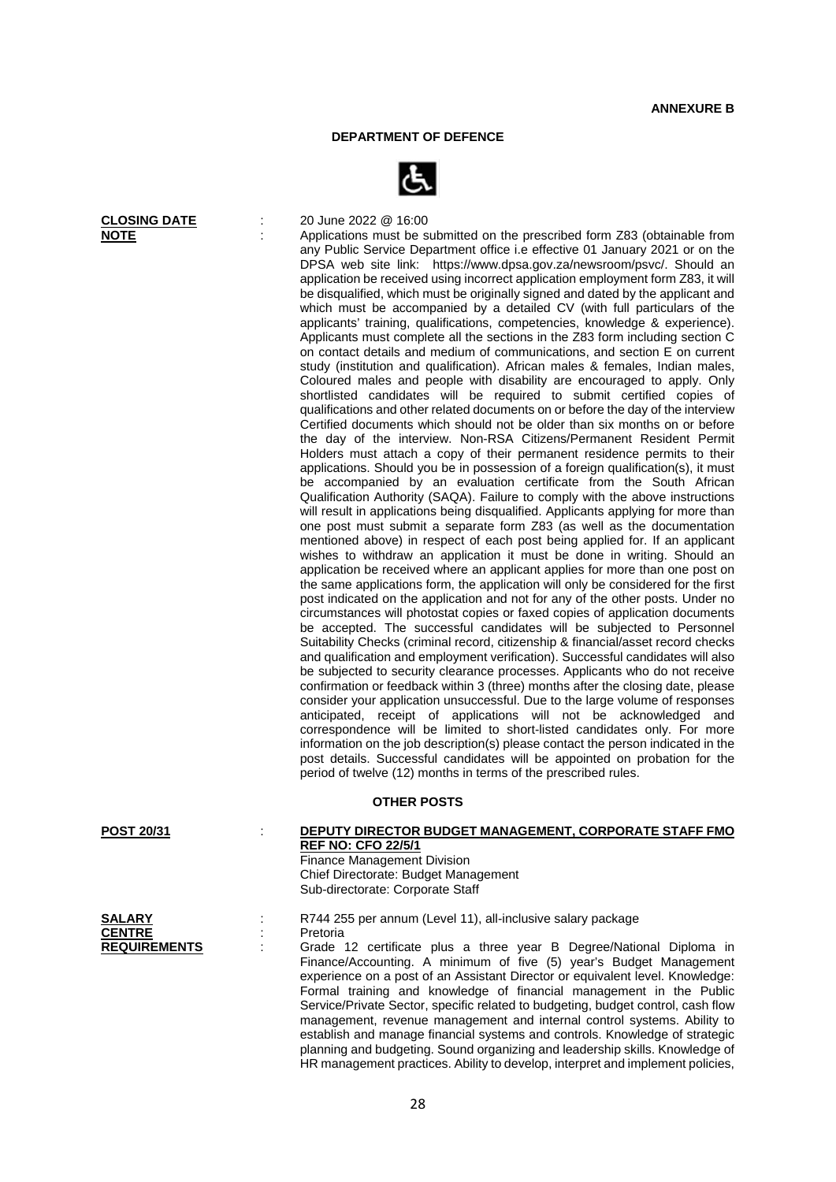## **DEPARTMENT OF DEFENCE**



**CLOSING DATE** : 20 June 2022 @ 16:00<br> **NOTE** : Applications must be s

Applications must be submitted on the prescribed form Z83 (obtainable from any Public Service Department office i.e effective 01 January 2021 or on the DPSA web site link: https://www.dpsa.gov.za/newsroom/psvc/. Should an application be received using incorrect application employment form Z83, it will be disqualified, which must be originally signed and dated by the applicant and which must be accompanied by a detailed CV (with full particulars of the applicants' training, qualifications, competencies, knowledge & experience). Applicants must complete all the sections in the Z83 form including section C on contact details and medium of communications, and section E on current study (institution and qualification). African males & females, Indian males, Coloured males and people with disability are encouraged to apply. Only shortlisted candidates will be required to submit certified copies of qualifications and other related documents on or before the day of the interview Certified documents which should not be older than six months on or before the day of the interview. Non-RSA Citizens/Permanent Resident Permit Holders must attach a copy of their permanent residence permits to their applications. Should you be in possession of a foreign qualification(s), it must be accompanied by an evaluation certificate from the South African Qualification Authority (SAQA). Failure to comply with the above instructions will result in applications being disqualified. Applicants applying for more than one post must submit a separate form Z83 (as well as the documentation mentioned above) in respect of each post being applied for. If an applicant wishes to withdraw an application it must be done in writing. Should an application be received where an applicant applies for more than one post on the same applications form, the application will only be considered for the first post indicated on the application and not for any of the other posts. Under no circumstances will photostat copies or faxed copies of application documents be accepted. The successful candidates will be subjected to Personnel Suitability Checks (criminal record, citizenship & financial/asset record checks and qualification and employment verification). Successful candidates will also be subjected to security clearance processes. Applicants who do not receive confirmation or feedback within 3 (three) months after the closing date, please consider your application unsuccessful. Due to the large volume of responses anticipated, receipt of applications will not be acknowledged and correspondence will be limited to short-listed candidates only. For more information on the job description(s) please contact the person indicated in the post details. Successful candidates will be appointed on probation for the period of twelve (12) months in terms of the prescribed rules.

## **OTHER POSTS**

Sub-directorate: Corporate Staff

| <b>POST 20/31</b> | DEPUTY DIRECTOR BUDGET MANAGEMENT, CORPORATE STAFF FMO |
|-------------------|--------------------------------------------------------|
|                   | <b>REF NO: CFO 22/5/1</b>                              |
|                   | Finance Management Division                            |
|                   | Chief Directorate: Budget Management                   |

| <b>SALARY</b>       |  |
|---------------------|--|
| <b>CENTRE</b>       |  |
| <b>REQUIREMENTS</b> |  |

**SALARY** : R744 255 per annum (Level 11), all-inclusive salary package : Pretoria **REQUIREMENTS** : Grade 12 certificate plus a three year B Degree/National Diploma in Finance/Accounting. A minimum of five (5) year's Budget Management experience on a post of an Assistant Director or equivalent level. Knowledge: Formal training and knowledge of financial management in the Public Service/Private Sector, specific related to budgeting, budget control, cash flow management, revenue management and internal control systems. Ability to establish and manage financial systems and controls. Knowledge of strategic planning and budgeting. Sound organizing and leadership skills. Knowledge of HR management practices. Ability to develop, interpret and implement policies,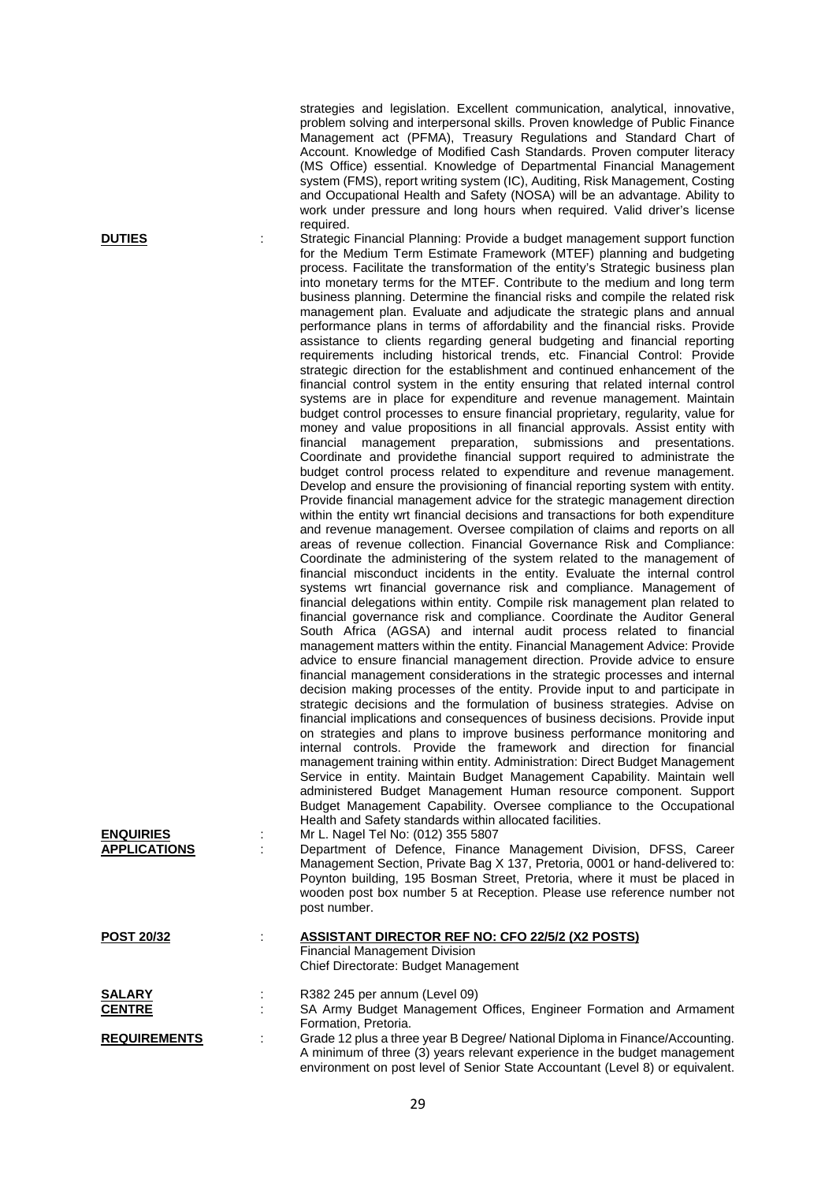strategies and legislation. Excellent communication, analytical, innovative, problem solving and interpersonal skills. Proven knowledge of Public Finance Management act (PFMA), Treasury Regulations and Standard Chart of Account. Knowledge of Modified Cash Standards. Proven computer literacy (MS Office) essential. Knowledge of Departmental Financial Management system (FMS), report writing system (IC), Auditing, Risk Management, Costing and Occupational Health and Safety (NOSA) will be an advantage. Ability to work under pressure and long hours when required. Valid driver's license required.

**DUTIES** : Strategic Financial Planning: Provide a budget management support function for the Medium Term Estimate Framework (MTEF) planning and budgeting process. Facilitate the transformation of the entity's Strategic business plan into monetary terms for the MTEF. Contribute to the medium and long term business planning. Determine the financial risks and compile the related risk management plan. Evaluate and adjudicate the strategic plans and annual performance plans in terms of affordability and the financial risks. Provide assistance to clients regarding general budgeting and financial reporting requirements including historical trends, etc. Financial Control: Provide strategic direction for the establishment and continued enhancement of the financial control system in the entity ensuring that related internal control systems are in place for expenditure and revenue management. Maintain budget control processes to ensure financial proprietary, regularity, value for money and value propositions in all financial approvals. Assist entity with financial management preparation, submissions and presentations. Coordinate and providethe financial support required to administrate the budget control process related to expenditure and revenue management. Develop and ensure the provisioning of financial reporting system with entity. Provide financial management advice for the strategic management direction within the entity wrt financial decisions and transactions for both expenditure and revenue management. Oversee compilation of claims and reports on all areas of revenue collection. Financial Governance Risk and Compliance: Coordinate the administering of the system related to the management of financial misconduct incidents in the entity. Evaluate the internal control systems wrt financial governance risk and compliance. Management of financial delegations within entity. Compile risk management plan related to financial governance risk and compliance. Coordinate the Auditor General South Africa (AGSA) and internal audit process related to financial management matters within the entity. Financial Management Advice: Provide advice to ensure financial management direction. Provide advice to ensure financial management considerations in the strategic processes and internal decision making processes of the entity. Provide input to and participate in strategic decisions and the formulation of business strategies. Advise on financial implications and consequences of business decisions. Provide input on strategies and plans to improve business performance monitoring and internal controls. Provide the framework and direction for financial management training within entity. Administration: Direct Budget Management Service in entity. Maintain Budget Management Capability. Maintain well administered Budget Management Human resource component. Support Budget Management Capability. Oversee compliance to the Occupational Health and Safety standards within allocated facilities.

**ENQUIRIES** : Mr L. Nagel Tel No: (012) 355 5807 Department of Defence, Finance Management Division, DFSS, Career Management Section, Private Bag X 137, Pretoria, 0001 or hand-delivered to: Poynton building, 195 Bosman Street, Pretoria, where it must be placed in wooden post box number 5 at Reception. Please use reference number not post number.

| <b>POST 20/32</b>   | ASSISTANT DIRECTOR REF NO: CFO 22/5/2 (X2 POSTS)                              |  |
|---------------------|-------------------------------------------------------------------------------|--|
|                     | <b>Financial Management Division</b>                                          |  |
|                     | Chief Directorate: Budget Management                                          |  |
| <b>SALARY</b>       | R382 245 per annum (Level 09)                                                 |  |
| <b>CENTRE</b>       | SA Army Budget Management Offices, Engineer Formation and Armament            |  |
|                     | Formation, Pretoria.                                                          |  |
| <b>REQUIREMENTS</b> | Grade 12 plus a three year B Degree/ National Diploma in Finance/Accounting.  |  |
|                     | A minimum of three (3) years relevant experience in the budget management     |  |
|                     | environment on post level of Senior State Accountant (Level 8) or equivalent. |  |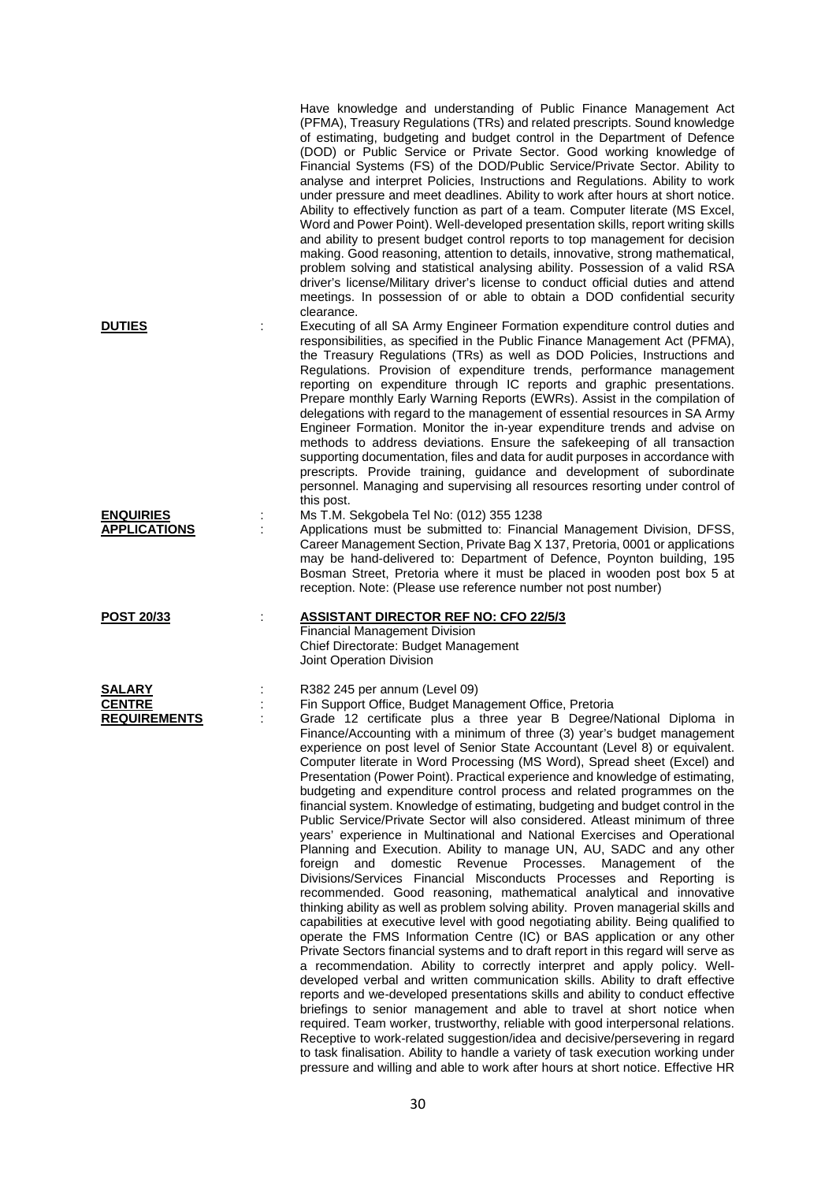|                                                |   | Have knowledge and understanding of Public Finance Management Act<br>(PFMA), Treasury Regulations (TRs) and related prescripts. Sound knowledge<br>of estimating, budgeting and budget control in the Department of Defence<br>(DOD) or Public Service or Private Sector. Good working knowledge of<br>Financial Systems (FS) of the DOD/Public Service/Private Sector. Ability to<br>analyse and interpret Policies, Instructions and Regulations. Ability to work<br>under pressure and meet deadlines. Ability to work after hours at short notice.<br>Ability to effectively function as part of a team. Computer literate (MS Excel,<br>Word and Power Point). Well-developed presentation skills, report writing skills<br>and ability to present budget control reports to top management for decision<br>making. Good reasoning, attention to details, innovative, strong mathematical,<br>problem solving and statistical analysing ability. Possession of a valid RSA<br>driver's license/Military driver's license to conduct official duties and attend<br>meetings. In possession of or able to obtain a DOD confidential security                                                                                                                                                                                                                                                                                                                                                                                                                                                                                                                                                                                                                                                                                                                                                                                                                                                                                                |
|------------------------------------------------|---|------------------------------------------------------------------------------------------------------------------------------------------------------------------------------------------------------------------------------------------------------------------------------------------------------------------------------------------------------------------------------------------------------------------------------------------------------------------------------------------------------------------------------------------------------------------------------------------------------------------------------------------------------------------------------------------------------------------------------------------------------------------------------------------------------------------------------------------------------------------------------------------------------------------------------------------------------------------------------------------------------------------------------------------------------------------------------------------------------------------------------------------------------------------------------------------------------------------------------------------------------------------------------------------------------------------------------------------------------------------------------------------------------------------------------------------------------------------------------------------------------------------------------------------------------------------------------------------------------------------------------------------------------------------------------------------------------------------------------------------------------------------------------------------------------------------------------------------------------------------------------------------------------------------------------------------------------------------------------------------------------------------------------------------------|
| <b>DUTIES</b>                                  |   | clearance.<br>Executing of all SA Army Engineer Formation expenditure control duties and<br>responsibilities, as specified in the Public Finance Management Act (PFMA),<br>the Treasury Regulations (TRs) as well as DOD Policies, Instructions and<br>Regulations. Provision of expenditure trends, performance management<br>reporting on expenditure through IC reports and graphic presentations.<br>Prepare monthly Early Warning Reports (EWRs). Assist in the compilation of<br>delegations with regard to the management of essential resources in SA Army<br>Engineer Formation. Monitor the in-year expenditure trends and advise on<br>methods to address deviations. Ensure the safekeeping of all transaction<br>supporting documentation, files and data for audit purposes in accordance with<br>prescripts. Provide training, guidance and development of subordinate<br>personnel. Managing and supervising all resources resorting under control of<br>this post.                                                                                                                                                                                                                                                                                                                                                                                                                                                                                                                                                                                                                                                                                                                                                                                                                                                                                                                                                                                                                                                            |
| <b>ENQUIRIES</b><br><b>APPLICATIONS</b>        |   | Ms T.M. Sekgobela Tel No: (012) 355 1238<br>Applications must be submitted to: Financial Management Division, DFSS,<br>Career Management Section, Private Bag X 137, Pretoria, 0001 or applications<br>may be hand-delivered to: Department of Defence, Poynton building, 195<br>Bosman Street, Pretoria where it must be placed in wooden post box 5 at<br>reception. Note: (Please use reference number not post number)                                                                                                                                                                                                                                                                                                                                                                                                                                                                                                                                                                                                                                                                                                                                                                                                                                                                                                                                                                                                                                                                                                                                                                                                                                                                                                                                                                                                                                                                                                                                                                                                                     |
| <b>POST 20/33</b>                              | ÷ | <b>ASSISTANT DIRECTOR REF NO: CFO 22/5/3</b><br><b>Financial Management Division</b><br>Chief Directorate: Budget Management<br>Joint Operation Division                                                                                                                                                                                                                                                                                                                                                                                                                                                                                                                                                                                                                                                                                                                                                                                                                                                                                                                                                                                                                                                                                                                                                                                                                                                                                                                                                                                                                                                                                                                                                                                                                                                                                                                                                                                                                                                                                       |
| SALARY<br><b>CENTRE</b><br><b>REQUIREMENTS</b> |   | R382 245 per annum (Level 09)<br>Fin Support Office, Budget Management Office, Pretoria<br>Grade 12 certificate plus a three year B Degree/National Diploma in<br>Finance/Accounting with a minimum of three (3) year's budget management<br>experience on post level of Senior State Accountant (Level 8) or equivalent.<br>Computer literate in Word Processing (MS Word), Spread sheet (Excel) and<br>Presentation (Power Point). Practical experience and knowledge of estimating,<br>budgeting and expenditure control process and related programmes on the<br>financial system. Knowledge of estimating, budgeting and budget control in the<br>Public Service/Private Sector will also considered. Atleast minimum of three<br>years' experience in Multinational and National Exercises and Operational<br>Planning and Execution. Ability to manage UN, AU, SADC and any other<br>domestic Revenue<br>Processes.<br>Management<br>foreign<br>and<br>of the<br>Divisions/Services Financial Misconducts Processes and Reporting is<br>recommended. Good reasoning, mathematical analytical and innovative<br>thinking ability as well as problem solving ability. Proven managerial skills and<br>capabilities at executive level with good negotiating ability. Being qualified to<br>operate the FMS Information Centre (IC) or BAS application or any other<br>Private Sectors financial systems and to draft report in this regard will serve as<br>a recommendation. Ability to correctly interpret and apply policy. Well-<br>developed verbal and written communication skills. Ability to draft effective<br>reports and we-developed presentations skills and ability to conduct effective<br>briefings to senior management and able to travel at short notice when<br>required. Team worker, trustworthy, reliable with good interpersonal relations.<br>Receptive to work-related suggestion/idea and decisive/persevering in regard<br>to task finalisation. Ability to handle a variety of task execution working under |

pressure and willing and able to work after hours at short notice. Effective HR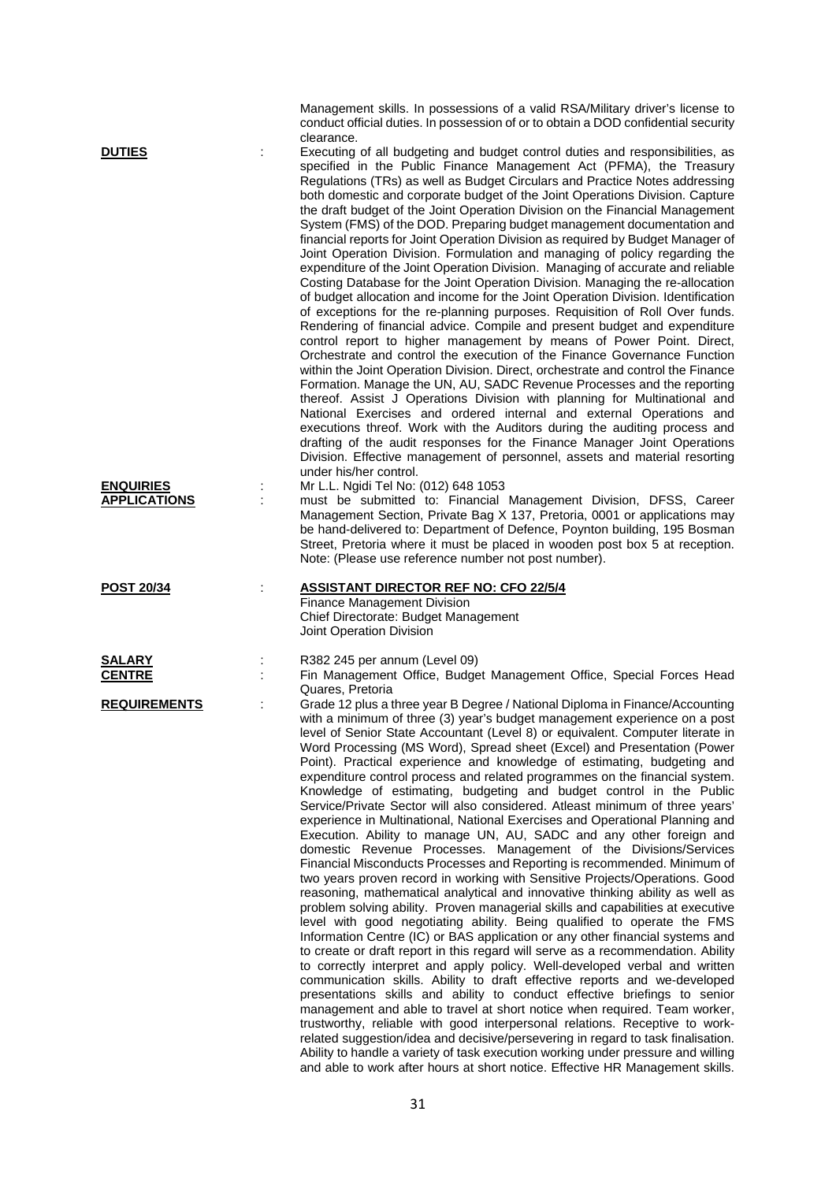|                                                          |   | Management skills. In possessions of a valid RSA/Military driver's license to<br>conduct official duties. In possession of or to obtain a DOD confidential security<br>clearance.                                                                                                                                                                                                                                                                                                                                                                                                                                                                                                                                                                                                                                                                                                                                                                                                                                                                                                                                                                                                                                                                                                                                                                                                                                                                                                                                                                                                                                                                                                                                                                                                                                                                                                                                                                                                                                                                                                                                                                              |
|----------------------------------------------------------|---|----------------------------------------------------------------------------------------------------------------------------------------------------------------------------------------------------------------------------------------------------------------------------------------------------------------------------------------------------------------------------------------------------------------------------------------------------------------------------------------------------------------------------------------------------------------------------------------------------------------------------------------------------------------------------------------------------------------------------------------------------------------------------------------------------------------------------------------------------------------------------------------------------------------------------------------------------------------------------------------------------------------------------------------------------------------------------------------------------------------------------------------------------------------------------------------------------------------------------------------------------------------------------------------------------------------------------------------------------------------------------------------------------------------------------------------------------------------------------------------------------------------------------------------------------------------------------------------------------------------------------------------------------------------------------------------------------------------------------------------------------------------------------------------------------------------------------------------------------------------------------------------------------------------------------------------------------------------------------------------------------------------------------------------------------------------------------------------------------------------------------------------------------------------|
| <b>DUTIES</b><br><b>ENQUIRIES</b><br><b>APPLICATIONS</b> | ÷ | Executing of all budgeting and budget control duties and responsibilities, as<br>specified in the Public Finance Management Act (PFMA), the Treasury<br>Regulations (TRs) as well as Budget Circulars and Practice Notes addressing<br>both domestic and corporate budget of the Joint Operations Division. Capture<br>the draft budget of the Joint Operation Division on the Financial Management<br>System (FMS) of the DOD. Preparing budget management documentation and<br>financial reports for Joint Operation Division as required by Budget Manager of<br>Joint Operation Division. Formulation and managing of policy regarding the<br>expenditure of the Joint Operation Division. Managing of accurate and reliable<br>Costing Database for the Joint Operation Division. Managing the re-allocation<br>of budget allocation and income for the Joint Operation Division. Identification<br>of exceptions for the re-planning purposes. Requisition of Roll Over funds.<br>Rendering of financial advice. Compile and present budget and expenditure<br>control report to higher management by means of Power Point. Direct,<br>Orchestrate and control the execution of the Finance Governance Function<br>within the Joint Operation Division. Direct, orchestrate and control the Finance<br>Formation. Manage the UN, AU, SADC Revenue Processes and the reporting<br>thereof. Assist J Operations Division with planning for Multinational and<br>National Exercises and ordered internal and external Operations and<br>executions threof. Work with the Auditors during the auditing process and<br>drafting of the audit responses for the Finance Manager Joint Operations<br>Division. Effective management of personnel, assets and material resorting<br>under his/her control.<br>Mr L.L. Ngidi Tel No: (012) 648 1053<br>must be submitted to: Financial Management Division, DFSS, Career<br>Management Section, Private Bag X 137, Pretoria, 0001 or applications may<br>be hand-delivered to: Department of Defence, Poynton building, 195 Bosman<br>Street, Pretoria where it must be placed in wooden post box 5 at reception. |
|                                                          |   | Note: (Please use reference number not post number).                                                                                                                                                                                                                                                                                                                                                                                                                                                                                                                                                                                                                                                                                                                                                                                                                                                                                                                                                                                                                                                                                                                                                                                                                                                                                                                                                                                                                                                                                                                                                                                                                                                                                                                                                                                                                                                                                                                                                                                                                                                                                                           |
| <b>POST 20/34</b>                                        |   | <b>ASSISTANT DIRECTOR REF NO: CFO 22/5/4</b><br>Finance Management Division<br>Chief Directorate: Budget Management<br>Joint Operation Division                                                                                                                                                                                                                                                                                                                                                                                                                                                                                                                                                                                                                                                                                                                                                                                                                                                                                                                                                                                                                                                                                                                                                                                                                                                                                                                                                                                                                                                                                                                                                                                                                                                                                                                                                                                                                                                                                                                                                                                                                |
| SALARY<br><b>CENTRE</b>                                  |   | R382 245 per annum (Level 09)<br>Fin Management Office, Budget Management Office, Special Forces Head<br>Quares, Pretoria                                                                                                                                                                                                                                                                                                                                                                                                                                                                                                                                                                                                                                                                                                                                                                                                                                                                                                                                                                                                                                                                                                                                                                                                                                                                                                                                                                                                                                                                                                                                                                                                                                                                                                                                                                                                                                                                                                                                                                                                                                      |
| <b>REQUIREMENTS</b>                                      |   | Grade 12 plus a three year B Degree / National Diploma in Finance/Accounting<br>with a minimum of three (3) year's budget management experience on a post<br>level of Senior State Accountant (Level 8) or equivalent. Computer literate in<br>Word Processing (MS Word), Spread sheet (Excel) and Presentation (Power<br>Point). Practical experience and knowledge of estimating, budgeting and<br>expenditure control process and related programmes on the financial system.<br>Knowledge of estimating, budgeting and budget control in the Public<br>Service/Private Sector will also considered. Atleast minimum of three years'<br>experience in Multinational, National Exercises and Operational Planning and<br>Execution. Ability to manage UN, AU, SADC and any other foreign and<br>domestic Revenue Processes. Management of the Divisions/Services<br>Financial Misconducts Processes and Reporting is recommended. Minimum of<br>two years proven record in working with Sensitive Projects/Operations. Good<br>reasoning, mathematical analytical and innovative thinking ability as well as<br>problem solving ability. Proven managerial skills and capabilities at executive<br>level with good negotiating ability. Being qualified to operate the FMS<br>Information Centre (IC) or BAS application or any other financial systems and<br>to create or draft report in this regard will serve as a recommendation. Ability<br>to correctly interpret and apply policy. Well-developed verbal and written<br>communication skills. Ability to draft effective reports and we-developed<br>presentations skills and ability to conduct effective briefings to senior<br>management and able to travel at short notice when required. Team worker,<br>trustworthy, reliable with good interpersonal relations. Receptive to work-<br>related suggestion/idea and decisive/persevering in regard to task finalisation.<br>Ability to handle a variety of task execution working under pressure and willing<br>and able to work after hours at short notice. Effective HR Management skills.                                                 |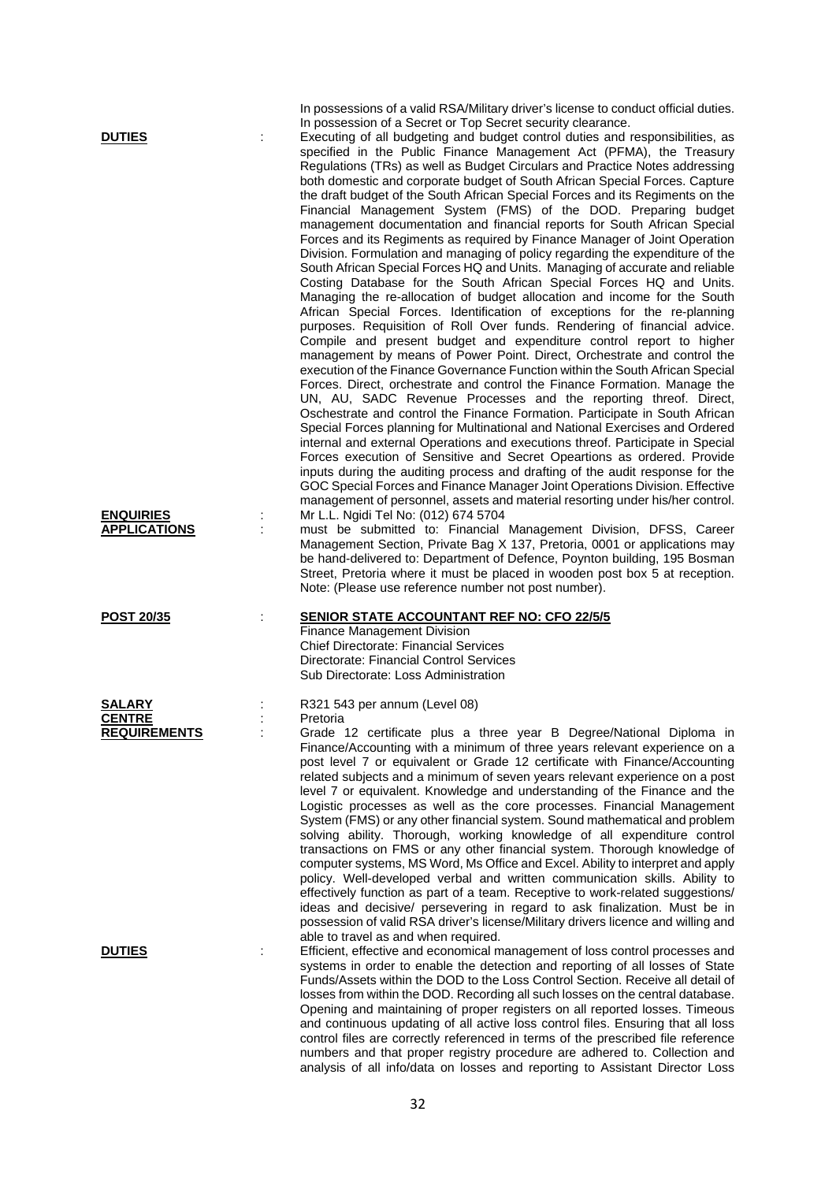In possessions of a valid RSA/Military driver's license to conduct official duties. In possession of a Secret or Top Secret security clearance.

**DUTIES** : Executing of all budgeting and budget control duties and responsibilities, as specified in the Public Finance Management Act (PFMA), the Treasury Regulations (TRs) as well as Budget Circulars and Practice Notes addressing both domestic and corporate budget of South African Special Forces. Capture the draft budget of the South African Special Forces and its Regiments on the Financial Management System (FMS) of the DOD. Preparing budget management documentation and financial reports for South African Special Forces and its Regiments as required by Finance Manager of Joint Operation Division. Formulation and managing of policy regarding the expenditure of the South African Special Forces HQ and Units. Managing of accurate and reliable Costing Database for the South African Special Forces HQ and Units. Managing the re-allocation of budget allocation and income for the South African Special Forces. Identification of exceptions for the re-planning purposes. Requisition of Roll Over funds. Rendering of financial advice. Compile and present budget and expenditure control report to higher management by means of Power Point. Direct, Orchestrate and control the execution of the Finance Governance Function within the South African Special Forces. Direct, orchestrate and control the Finance Formation. Manage the UN, AU, SADC Revenue Processes and the reporting threof. Direct, Oschestrate and control the Finance Formation. Participate in South African Special Forces planning for Multinational and National Exercises and Ordered internal and external Operations and executions threof. Participate in Special Forces execution of Sensitive and Secret Opeartions as ordered. Provide inputs during the auditing process and drafting of the audit response for the GOC Special Forces and Finance Manager Joint Operations Division. Effective management of personnel, assets and material resorting under his/her control. **ENQUIRIES** : Mr L.L. Ngidi Tel No: (012) 674 5704

: must be submitted to: Financial Management Division, DFSS, Career Management Section, Private Bag X 137, Pretoria, 0001 or applications may be hand-delivered to: Department of Defence, Poynton building, 195 Bosman Street, Pretoria where it must be placed in wooden post box 5 at reception. Note: (Please use reference number not post number).

## **POST 20/35** :

**CENTRE** :<br>REQUIREMENTS :

| <b>SENIOR STATE ACCOUNTANT REF NO: CFO 22/5/5</b> |  |  |
|---------------------------------------------------|--|--|
|                                                   |  |  |

Finance Management Division Chief Directorate: Financial Services Directorate: Financial Control Services Sub Directorate: Loss Administration

**SALARY** : R321 543 per annum (Level 08)<br>CENTRE

Grade 12 certificate plus a three year B Degree/National Diploma in Finance/Accounting with a minimum of three years relevant experience on a post level 7 or equivalent or Grade 12 certificate with Finance/Accounting related subjects and a minimum of seven years relevant experience on a post level 7 or equivalent. Knowledge and understanding of the Finance and the Logistic processes as well as the core processes. Financial Management System (FMS) or any other financial system. Sound mathematical and problem solving ability. Thorough, working knowledge of all expenditure control transactions on FMS or any other financial system. Thorough knowledge of computer systems, MS Word, Ms Office and Excel. Ability to interpret and apply policy. Well-developed verbal and written communication skills. Ability to effectively function as part of a team. Receptive to work-related suggestions/ ideas and decisive/ persevering in regard to ask finalization. Must be in possession of valid RSA driver's license/Military drivers licence and willing and able to travel as and when required.

**DUTIES** : Efficient, effective and economical management of loss control processes and systems in order to enable the detection and reporting of all losses of State Funds/Assets within the DOD to the Loss Control Section. Receive all detail of losses from within the DOD. Recording all such losses on the central database. Opening and maintaining of proper registers on all reported losses. Timeous and continuous updating of all active loss control files. Ensuring that all loss control files are correctly referenced in terms of the prescribed file reference numbers and that proper registry procedure are adhered to. Collection and analysis of all info/data on losses and reporting to Assistant Director Loss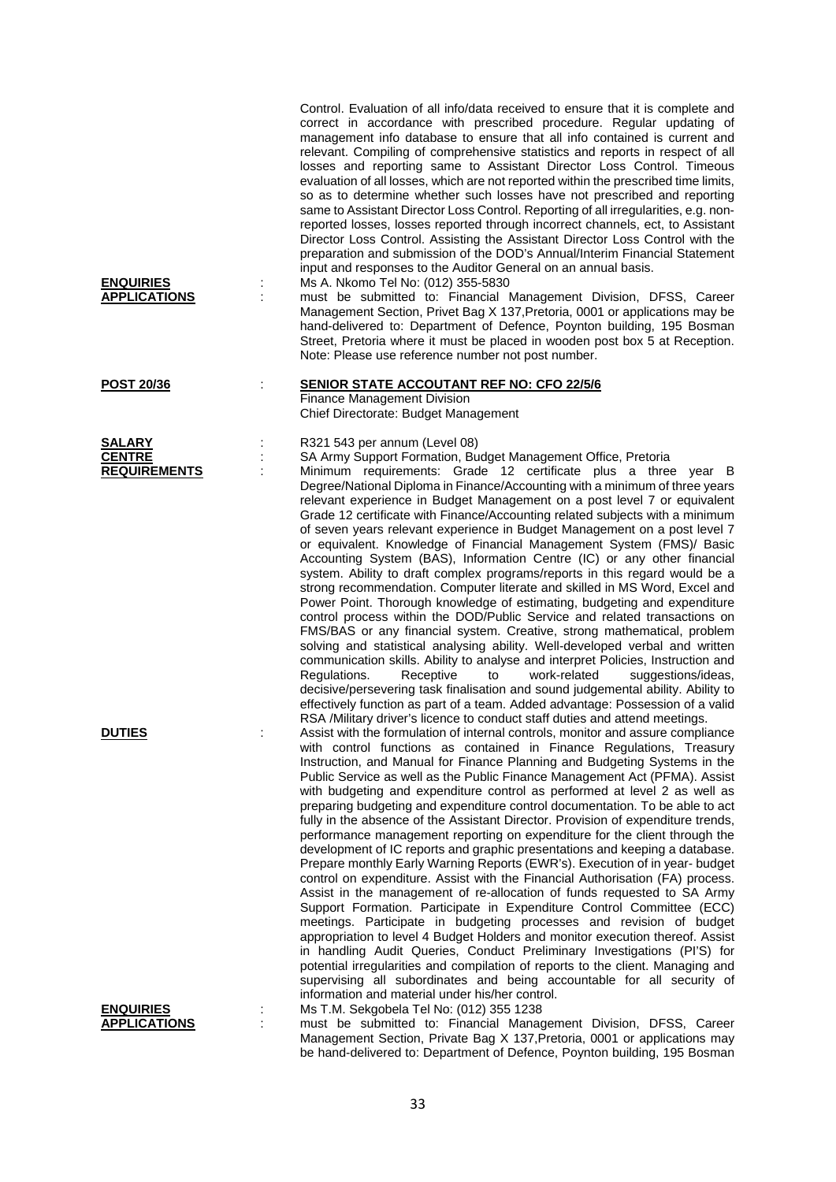| <b>ENQUIRIES</b><br><b>APPLICATIONS</b> | Control. Evaluation of all info/data received to ensure that it is complete and<br>correct in accordance with prescribed procedure. Regular updating of<br>management info database to ensure that all info contained is current and<br>relevant. Compiling of comprehensive statistics and reports in respect of all<br>losses and reporting same to Assistant Director Loss Control. Timeous<br>evaluation of all losses, which are not reported within the prescribed time limits,<br>so as to determine whether such losses have not prescribed and reporting<br>same to Assistant Director Loss Control. Reporting of all irregularities, e.g. non-<br>reported losses, losses reported through incorrect channels, ect, to Assistant<br>Director Loss Control. Assisting the Assistant Director Loss Control with the<br>preparation and submission of the DOD's Annual/Interim Financial Statement<br>input and responses to the Auditor General on an annual basis.<br>Ms A. Nkomo Tel No: (012) 355-5830<br>must be submitted to: Financial Management Division, DFSS, Career<br>Management Section, Privet Bag X 137, Pretoria, 0001 or applications may be<br>hand-delivered to: Department of Defence, Poynton building, 195 Bosman<br>Street, Pretoria where it must be placed in wooden post box 5 at Reception.<br>Note: Please use reference number not post number. |
|-----------------------------------------|--------------------------------------------------------------------------------------------------------------------------------------------------------------------------------------------------------------------------------------------------------------------------------------------------------------------------------------------------------------------------------------------------------------------------------------------------------------------------------------------------------------------------------------------------------------------------------------------------------------------------------------------------------------------------------------------------------------------------------------------------------------------------------------------------------------------------------------------------------------------------------------------------------------------------------------------------------------------------------------------------------------------------------------------------------------------------------------------------------------------------------------------------------------------------------------------------------------------------------------------------------------------------------------------------------------------------------------------------------------------------------------|
| <b>POST 20/36</b>                       | <b>SENIOR STATE ACCOUTANT REF NO: CFO 22/5/6</b>                                                                                                                                                                                                                                                                                                                                                                                                                                                                                                                                                                                                                                                                                                                                                                                                                                                                                                                                                                                                                                                                                                                                                                                                                                                                                                                                     |
|                                         | <b>Finance Management Division</b><br>Chief Directorate: Budget Management                                                                                                                                                                                                                                                                                                                                                                                                                                                                                                                                                                                                                                                                                                                                                                                                                                                                                                                                                                                                                                                                                                                                                                                                                                                                                                           |
|                                         |                                                                                                                                                                                                                                                                                                                                                                                                                                                                                                                                                                                                                                                                                                                                                                                                                                                                                                                                                                                                                                                                                                                                                                                                                                                                                                                                                                                      |
| <b>SALARY</b>                           | R321 543 per annum (Level 08)                                                                                                                                                                                                                                                                                                                                                                                                                                                                                                                                                                                                                                                                                                                                                                                                                                                                                                                                                                                                                                                                                                                                                                                                                                                                                                                                                        |
| <b>CENTRE</b><br><b>REQUIREMENTS</b>    | SA Army Support Formation, Budget Management Office, Pretoria<br>Minimum requirements: Grade 12 certificate plus a three year B                                                                                                                                                                                                                                                                                                                                                                                                                                                                                                                                                                                                                                                                                                                                                                                                                                                                                                                                                                                                                                                                                                                                                                                                                                                      |
|                                         | Degree/National Diploma in Finance/Accounting with a minimum of three years                                                                                                                                                                                                                                                                                                                                                                                                                                                                                                                                                                                                                                                                                                                                                                                                                                                                                                                                                                                                                                                                                                                                                                                                                                                                                                          |
|                                         | relevant experience in Budget Management on a post level 7 or equivalent                                                                                                                                                                                                                                                                                                                                                                                                                                                                                                                                                                                                                                                                                                                                                                                                                                                                                                                                                                                                                                                                                                                                                                                                                                                                                                             |
|                                         | Grade 12 certificate with Finance/Accounting related subjects with a minimum<br>of seven years relevant experience in Budget Management on a post level 7                                                                                                                                                                                                                                                                                                                                                                                                                                                                                                                                                                                                                                                                                                                                                                                                                                                                                                                                                                                                                                                                                                                                                                                                                            |
|                                         | or equivalent. Knowledge of Financial Management System (FMS)/ Basic                                                                                                                                                                                                                                                                                                                                                                                                                                                                                                                                                                                                                                                                                                                                                                                                                                                                                                                                                                                                                                                                                                                                                                                                                                                                                                                 |
|                                         | Accounting System (BAS), Information Centre (IC) or any other financial                                                                                                                                                                                                                                                                                                                                                                                                                                                                                                                                                                                                                                                                                                                                                                                                                                                                                                                                                                                                                                                                                                                                                                                                                                                                                                              |
|                                         | system. Ability to draft complex programs/reports in this regard would be a                                                                                                                                                                                                                                                                                                                                                                                                                                                                                                                                                                                                                                                                                                                                                                                                                                                                                                                                                                                                                                                                                                                                                                                                                                                                                                          |
|                                         | strong recommendation. Computer literate and skilled in MS Word, Excel and                                                                                                                                                                                                                                                                                                                                                                                                                                                                                                                                                                                                                                                                                                                                                                                                                                                                                                                                                                                                                                                                                                                                                                                                                                                                                                           |
|                                         | Power Point. Thorough knowledge of estimating, budgeting and expenditure<br>control process within the DOD/Public Service and related transactions on                                                                                                                                                                                                                                                                                                                                                                                                                                                                                                                                                                                                                                                                                                                                                                                                                                                                                                                                                                                                                                                                                                                                                                                                                                |
|                                         | FMS/BAS or any financial system. Creative, strong mathematical, problem                                                                                                                                                                                                                                                                                                                                                                                                                                                                                                                                                                                                                                                                                                                                                                                                                                                                                                                                                                                                                                                                                                                                                                                                                                                                                                              |
|                                         | solving and statistical analysing ability. Well-developed verbal and written                                                                                                                                                                                                                                                                                                                                                                                                                                                                                                                                                                                                                                                                                                                                                                                                                                                                                                                                                                                                                                                                                                                                                                                                                                                                                                         |
|                                         | communication skills. Ability to analyse and interpret Policies, Instruction and<br>Regulations.<br>Receptive<br>work-related<br>to<br>suggestions/ideas,                                                                                                                                                                                                                                                                                                                                                                                                                                                                                                                                                                                                                                                                                                                                                                                                                                                                                                                                                                                                                                                                                                                                                                                                                            |
|                                         | decisive/persevering task finalisation and sound judgemental ability. Ability to                                                                                                                                                                                                                                                                                                                                                                                                                                                                                                                                                                                                                                                                                                                                                                                                                                                                                                                                                                                                                                                                                                                                                                                                                                                                                                     |
|                                         | effectively function as part of a team. Added advantage: Possession of a valid                                                                                                                                                                                                                                                                                                                                                                                                                                                                                                                                                                                                                                                                                                                                                                                                                                                                                                                                                                                                                                                                                                                                                                                                                                                                                                       |
|                                         | RSA /Military driver's licence to conduct staff duties and attend meetings.                                                                                                                                                                                                                                                                                                                                                                                                                                                                                                                                                                                                                                                                                                                                                                                                                                                                                                                                                                                                                                                                                                                                                                                                                                                                                                          |
| <b>DUTIES</b>                           | Assist with the formulation of internal controls, monitor and assure compliance<br>with control functions as contained in Finance Regulations, Treasury                                                                                                                                                                                                                                                                                                                                                                                                                                                                                                                                                                                                                                                                                                                                                                                                                                                                                                                                                                                                                                                                                                                                                                                                                              |
|                                         | Instruction, and Manual for Finance Planning and Budgeting Systems in the                                                                                                                                                                                                                                                                                                                                                                                                                                                                                                                                                                                                                                                                                                                                                                                                                                                                                                                                                                                                                                                                                                                                                                                                                                                                                                            |
|                                         | Public Service as well as the Public Finance Management Act (PFMA). Assist                                                                                                                                                                                                                                                                                                                                                                                                                                                                                                                                                                                                                                                                                                                                                                                                                                                                                                                                                                                                                                                                                                                                                                                                                                                                                                           |
|                                         | with budgeting and expenditure control as performed at level 2 as well as                                                                                                                                                                                                                                                                                                                                                                                                                                                                                                                                                                                                                                                                                                                                                                                                                                                                                                                                                                                                                                                                                                                                                                                                                                                                                                            |
|                                         | preparing budgeting and expenditure control documentation. To be able to act<br>fully in the absence of the Assistant Director. Provision of expenditure trends,                                                                                                                                                                                                                                                                                                                                                                                                                                                                                                                                                                                                                                                                                                                                                                                                                                                                                                                                                                                                                                                                                                                                                                                                                     |
|                                         | performance management reporting on expenditure for the client through the                                                                                                                                                                                                                                                                                                                                                                                                                                                                                                                                                                                                                                                                                                                                                                                                                                                                                                                                                                                                                                                                                                                                                                                                                                                                                                           |
|                                         | development of IC reports and graphic presentations and keeping a database.                                                                                                                                                                                                                                                                                                                                                                                                                                                                                                                                                                                                                                                                                                                                                                                                                                                                                                                                                                                                                                                                                                                                                                                                                                                                                                          |
|                                         | Prepare monthly Early Warning Reports (EWR's). Execution of in year- budget                                                                                                                                                                                                                                                                                                                                                                                                                                                                                                                                                                                                                                                                                                                                                                                                                                                                                                                                                                                                                                                                                                                                                                                                                                                                                                          |
|                                         | control on expenditure. Assist with the Financial Authorisation (FA) process.<br>Assist in the management of re-allocation of funds requested to SA Army                                                                                                                                                                                                                                                                                                                                                                                                                                                                                                                                                                                                                                                                                                                                                                                                                                                                                                                                                                                                                                                                                                                                                                                                                             |
|                                         | Support Formation. Participate in Expenditure Control Committee (ECC)                                                                                                                                                                                                                                                                                                                                                                                                                                                                                                                                                                                                                                                                                                                                                                                                                                                                                                                                                                                                                                                                                                                                                                                                                                                                                                                |
|                                         | meetings. Participate in budgeting processes and revision of budget                                                                                                                                                                                                                                                                                                                                                                                                                                                                                                                                                                                                                                                                                                                                                                                                                                                                                                                                                                                                                                                                                                                                                                                                                                                                                                                  |
|                                         | appropriation to level 4 Budget Holders and monitor execution thereof. Assist                                                                                                                                                                                                                                                                                                                                                                                                                                                                                                                                                                                                                                                                                                                                                                                                                                                                                                                                                                                                                                                                                                                                                                                                                                                                                                        |
|                                         | in handling Audit Queries, Conduct Preliminary Investigations (PI'S) for<br>potential irregularities and compilation of reports to the client. Managing and                                                                                                                                                                                                                                                                                                                                                                                                                                                                                                                                                                                                                                                                                                                                                                                                                                                                                                                                                                                                                                                                                                                                                                                                                          |
|                                         | supervising all subordinates and being accountable for all security of                                                                                                                                                                                                                                                                                                                                                                                                                                                                                                                                                                                                                                                                                                                                                                                                                                                                                                                                                                                                                                                                                                                                                                                                                                                                                                               |
|                                         | information and material under his/her control.                                                                                                                                                                                                                                                                                                                                                                                                                                                                                                                                                                                                                                                                                                                                                                                                                                                                                                                                                                                                                                                                                                                                                                                                                                                                                                                                      |
| <b>ENQUIRIES</b>                        | Ms T.M. Sekgobela Tel No: (012) 355 1238                                                                                                                                                                                                                                                                                                                                                                                                                                                                                                                                                                                                                                                                                                                                                                                                                                                                                                                                                                                                                                                                                                                                                                                                                                                                                                                                             |
| <b>APPLICATIONS</b>                     | must be submitted to: Financial Management Division, DFSS, Career<br>Management Section, Private Bag X 137, Pretoria, 0001 or applications may                                                                                                                                                                                                                                                                                                                                                                                                                                                                                                                                                                                                                                                                                                                                                                                                                                                                                                                                                                                                                                                                                                                                                                                                                                       |
|                                         |                                                                                                                                                                                                                                                                                                                                                                                                                                                                                                                                                                                                                                                                                                                                                                                                                                                                                                                                                                                                                                                                                                                                                                                                                                                                                                                                                                                      |

be hand-delivered to: Department of Defence, Poynton building, 195 Bosman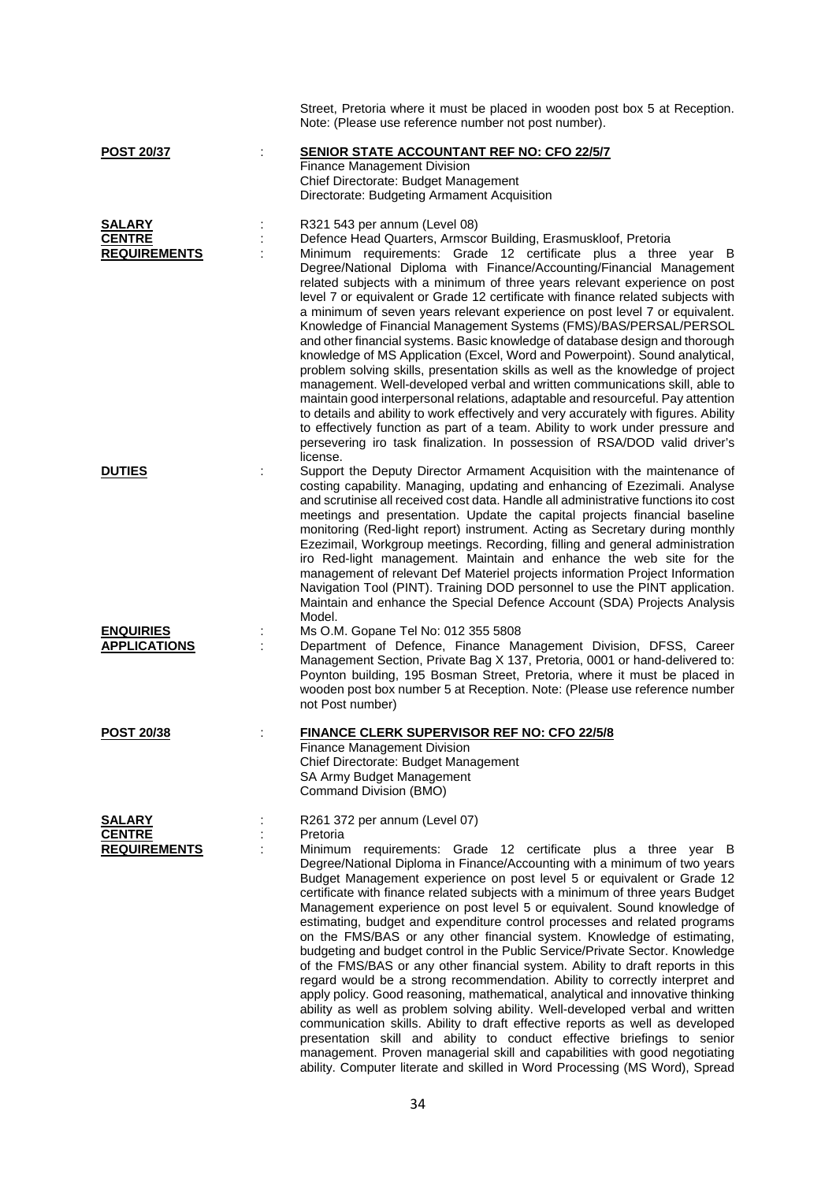|                                                       | Street, Pretoria where it must be placed in wooden post box 5 at Reception.<br>Note: (Please use reference number not post number).                                                                                                                                                                                                                                                                                                                                                                                                                                                                                                                                                                                                                                                                                                                                                                                                                                                                                                                                                                                                                                                                                                                                                                                                 |
|-------------------------------------------------------|-------------------------------------------------------------------------------------------------------------------------------------------------------------------------------------------------------------------------------------------------------------------------------------------------------------------------------------------------------------------------------------------------------------------------------------------------------------------------------------------------------------------------------------------------------------------------------------------------------------------------------------------------------------------------------------------------------------------------------------------------------------------------------------------------------------------------------------------------------------------------------------------------------------------------------------------------------------------------------------------------------------------------------------------------------------------------------------------------------------------------------------------------------------------------------------------------------------------------------------------------------------------------------------------------------------------------------------|
| <b>POST 20/37</b>                                     | <b>SENIOR STATE ACCOUNTANT REF NO: CFO 22/5/7</b><br>Finance Management Division<br>Chief Directorate: Budget Management<br>Directorate: Budgeting Armament Acquisition                                                                                                                                                                                                                                                                                                                                                                                                                                                                                                                                                                                                                                                                                                                                                                                                                                                                                                                                                                                                                                                                                                                                                             |
| <b>SALARY</b><br><b>CENTRE</b><br><b>REQUIREMENTS</b> | R321 543 per annum (Level 08)<br>Defence Head Quarters, Armscor Building, Erasmuskloof, Pretoria<br>Minimum requirements: Grade 12 certificate plus a three year B<br>Degree/National Diploma with Finance/Accounting/Financial Management<br>related subjects with a minimum of three years relevant experience on post<br>level 7 or equivalent or Grade 12 certificate with finance related subjects with<br>a minimum of seven years relevant experience on post level 7 or equivalent.<br>Knowledge of Financial Management Systems (FMS)/BAS/PERSAL/PERSOL<br>and other financial systems. Basic knowledge of database design and thorough<br>knowledge of MS Application (Excel, Word and Powerpoint). Sound analytical,<br>problem solving skills, presentation skills as well as the knowledge of project<br>management. Well-developed verbal and written communications skill, able to<br>maintain good interpersonal relations, adaptable and resourceful. Pay attention<br>to details and ability to work effectively and very accurately with figures. Ability<br>to effectively function as part of a team. Ability to work under pressure and<br>persevering iro task finalization. In possession of RSA/DOD valid driver's<br>license.                                                                             |
| <b>DUTIES</b>                                         | Support the Deputy Director Armament Acquisition with the maintenance of<br>costing capability. Managing, updating and enhancing of Ezezimali. Analyse<br>and scrutinise all received cost data. Handle all administrative functions ito cost<br>meetings and presentation. Update the capital projects financial baseline<br>monitoring (Red-light report) instrument. Acting as Secretary during monthly<br>Ezezimail, Workgroup meetings. Recording, filling and general administration<br>iro Red-light management. Maintain and enhance the web site for the<br>management of relevant Def Materiel projects information Project Information<br>Navigation Tool (PINT). Training DOD personnel to use the PINT application.<br>Maintain and enhance the Special Defence Account (SDA) Projects Analysis<br>Model.                                                                                                                                                                                                                                                                                                                                                                                                                                                                                                              |
| <b>ENQUIRIES</b><br><b>APPLICATIONS</b>               | Ms O.M. Gopane Tel No: 012 355 5808<br>Department of Defence, Finance Management Division, DFSS, Career<br>Management Section, Private Bag X 137, Pretoria, 0001 or hand-delivered to:<br>Poynton building, 195 Bosman Street, Pretoria, where it must be placed in<br>wooden post box number 5 at Reception. Note: (Please use reference number<br>not Post number)                                                                                                                                                                                                                                                                                                                                                                                                                                                                                                                                                                                                                                                                                                                                                                                                                                                                                                                                                                |
| POST 20/38                                            | <b>FINANCE CLERK SUPERVISOR REF NO: CFO 22/5/8</b><br>Finance Management Division<br>Chief Directorate: Budget Management<br>SA Army Budget Management<br>Command Division (BMO)                                                                                                                                                                                                                                                                                                                                                                                                                                                                                                                                                                                                                                                                                                                                                                                                                                                                                                                                                                                                                                                                                                                                                    |
| <b>SALARY</b><br><b>CENTRE</b><br><b>REQUIREMENTS</b> | R261 372 per annum (Level 07)<br>Pretoria<br>Minimum requirements: Grade 12 certificate plus a three year B<br>Degree/National Diploma in Finance/Accounting with a minimum of two years<br>Budget Management experience on post level 5 or equivalent or Grade 12<br>certificate with finance related subjects with a minimum of three years Budget<br>Management experience on post level 5 or equivalent. Sound knowledge of<br>estimating, budget and expenditure control processes and related programs<br>on the FMS/BAS or any other financial system. Knowledge of estimating,<br>budgeting and budget control in the Public Service/Private Sector. Knowledge<br>of the FMS/BAS or any other financial system. Ability to draft reports in this<br>regard would be a strong recommendation. Ability to correctly interpret and<br>apply policy. Good reasoning, mathematical, analytical and innovative thinking<br>ability as well as problem solving ability. Well-developed verbal and written<br>communication skills. Ability to draft effective reports as well as developed<br>presentation skill and ability to conduct effective briefings to senior<br>management. Proven managerial skill and capabilities with good negotiating<br>ability. Computer literate and skilled in Word Processing (MS Word), Spread |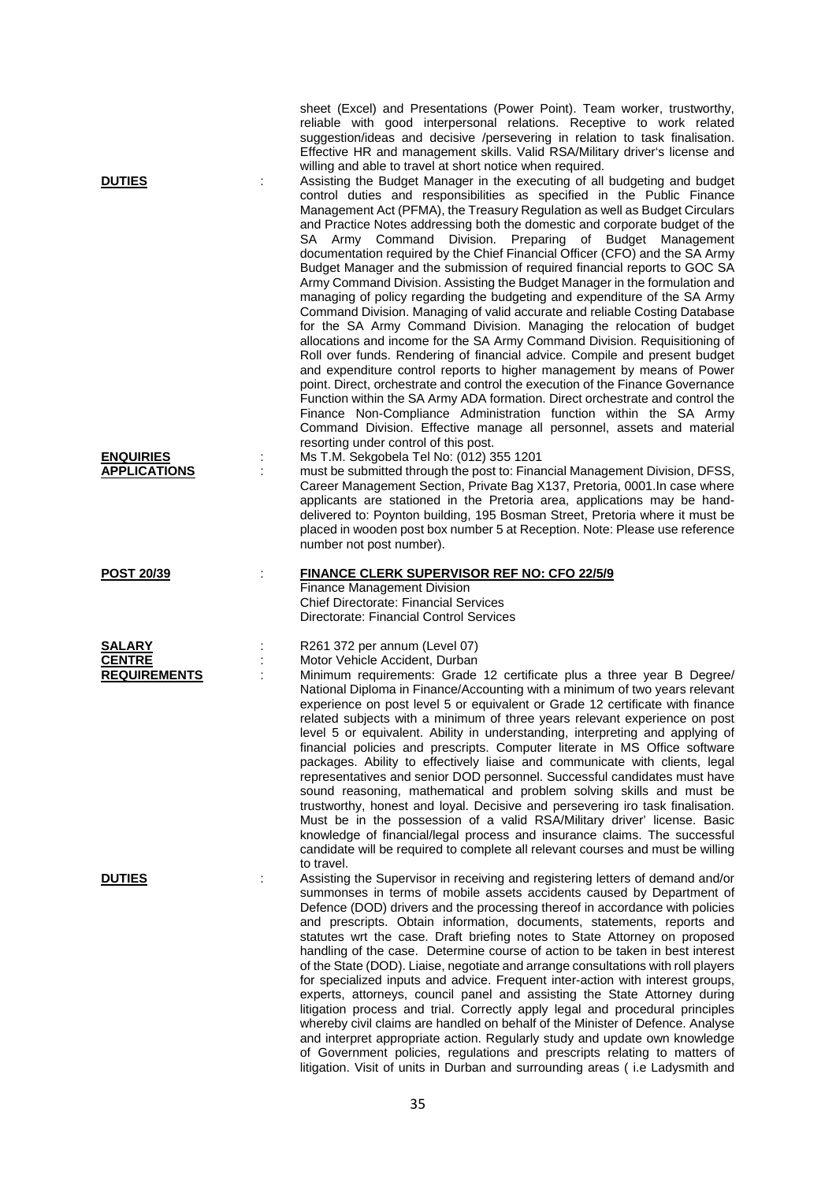| <b>DUTIES</b>                                         | sheet (Excel) and Presentations (Power Point). Team worker, trustworthy,<br>reliable with good interpersonal relations. Receptive to work related<br>suggestion/ideas and decisive /persevering in relation to task finalisation.<br>Effective HR and management skills. Valid RSA/Military driver's license and<br>willing and able to travel at short notice when required.<br>Assisting the Budget Manager in the executing of all budgeting and budget<br>control duties and responsibilities as specified in the Public Finance<br>Management Act (PFMA), the Treasury Regulation as well as Budget Circulars<br>and Practice Notes addressing both the domestic and corporate budget of the<br>SA Army Command Division. Preparing of Budget Management<br>documentation required by the Chief Financial Officer (CFO) and the SA Army<br>Budget Manager and the submission of required financial reports to GOC SA<br>Army Command Division. Assisting the Budget Manager in the formulation and<br>managing of policy regarding the budgeting and expenditure of the SA Army<br>Command Division. Managing of valid accurate and reliable Costing Database<br>for the SA Army Command Division. Managing the relocation of budget<br>allocations and income for the SA Army Command Division. Requisitioning of<br>Roll over funds. Rendering of financial advice. Compile and present budget<br>and expenditure control reports to higher management by means of Power<br>point. Direct, orchestrate and control the execution of the Finance Governance<br>Function within the SA Army ADA formation. Direct orchestrate and control the<br>Finance Non-Compliance Administration function within the SA Army<br>Command Division. Effective manage all personnel, assets and material<br>resorting under control of this post. |
|-------------------------------------------------------|-------------------------------------------------------------------------------------------------------------------------------------------------------------------------------------------------------------------------------------------------------------------------------------------------------------------------------------------------------------------------------------------------------------------------------------------------------------------------------------------------------------------------------------------------------------------------------------------------------------------------------------------------------------------------------------------------------------------------------------------------------------------------------------------------------------------------------------------------------------------------------------------------------------------------------------------------------------------------------------------------------------------------------------------------------------------------------------------------------------------------------------------------------------------------------------------------------------------------------------------------------------------------------------------------------------------------------------------------------------------------------------------------------------------------------------------------------------------------------------------------------------------------------------------------------------------------------------------------------------------------------------------------------------------------------------------------------------------------------------------------------------------------------------------------------------------------------------------|
| <b>ENQUIRIES</b><br><b>APPLICATIONS</b>               | Ms T.M. Sekgobela Tel No: (012) 355 1201<br>must be submitted through the post to: Financial Management Division, DFSS,<br>Career Management Section, Private Bag X137, Pretoria, 0001. In case where<br>applicants are stationed in the Pretoria area, applications may be hand-<br>delivered to: Poynton building, 195 Bosman Street, Pretoria where it must be<br>placed in wooden post box number 5 at Reception. Note: Please use reference<br>number not post number).                                                                                                                                                                                                                                                                                                                                                                                                                                                                                                                                                                                                                                                                                                                                                                                                                                                                                                                                                                                                                                                                                                                                                                                                                                                                                                                                                              |
| <b>POST 20/39</b>                                     | <b>FINANCE CLERK SUPERVISOR REF NO: CFO 22/5/9</b><br>Finance Management Division<br><b>Chief Directorate: Financial Services</b><br>Directorate: Financial Control Services                                                                                                                                                                                                                                                                                                                                                                                                                                                                                                                                                                                                                                                                                                                                                                                                                                                                                                                                                                                                                                                                                                                                                                                                                                                                                                                                                                                                                                                                                                                                                                                                                                                              |
| <b>SALARY</b><br><b>CENTRE</b><br><b>REQUIREMENTS</b> | R261 372 per annum (Level 07)<br>Motor Vehicle Accident, Durban<br>Minimum requirements: Grade 12 certificate plus a three year B Degree/<br>National Diploma in Finance/Accounting with a minimum of two years relevant<br>experience on post level 5 or equivalent or Grade 12 certificate with finance<br>related subjects with a minimum of three years relevant experience on post<br>level 5 or equivalent. Ability in understanding, interpreting and applying of<br>financial policies and prescripts. Computer literate in MS Office software<br>packages. Ability to effectively liaise and communicate with clients, legal<br>representatives and senior DOD personnel. Successful candidates must have<br>sound reasoning, mathematical and problem solving skills and must be<br>trustworthy, honest and loyal. Decisive and persevering iro task finalisation.<br>Must be in the possession of a valid RSA/Military driver' license. Basic<br>knowledge of financial/legal process and insurance claims. The successful<br>candidate will be required to complete all relevant courses and must be willing<br>to travel.                                                                                                                                                                                                                                                                                                                                                                                                                                                                                                                                                                                                                                                                                                    |
| <b>DUTIES</b>                                         | Assisting the Supervisor in receiving and registering letters of demand and/or<br>summonses in terms of mobile assets accidents caused by Department of<br>Defence (DOD) drivers and the processing thereof in accordance with policies<br>and prescripts. Obtain information, documents, statements, reports and<br>statutes wrt the case. Draft briefing notes to State Attorney on proposed<br>handling of the case. Determine course of action to be taken in best interest<br>of the State (DOD). Liaise, negotiate and arrange consultations with roll players<br>for specialized inputs and advice. Frequent inter-action with interest groups,<br>experts, attorneys, council panel and assisting the State Attorney during<br>litigation process and trial. Correctly apply legal and procedural principles<br>whereby civil claims are handled on behalf of the Minister of Defence. Analyse<br>and interpret appropriate action. Regularly study and update own knowledge<br>of Government policies, regulations and prescripts relating to matters of<br>litigation. Visit of units in Durban and surrounding areas (i.e Ladysmith and                                                                                                                                                                                                                                                                                                                                                                                                                                                                                                                                                                                                                                                                                        |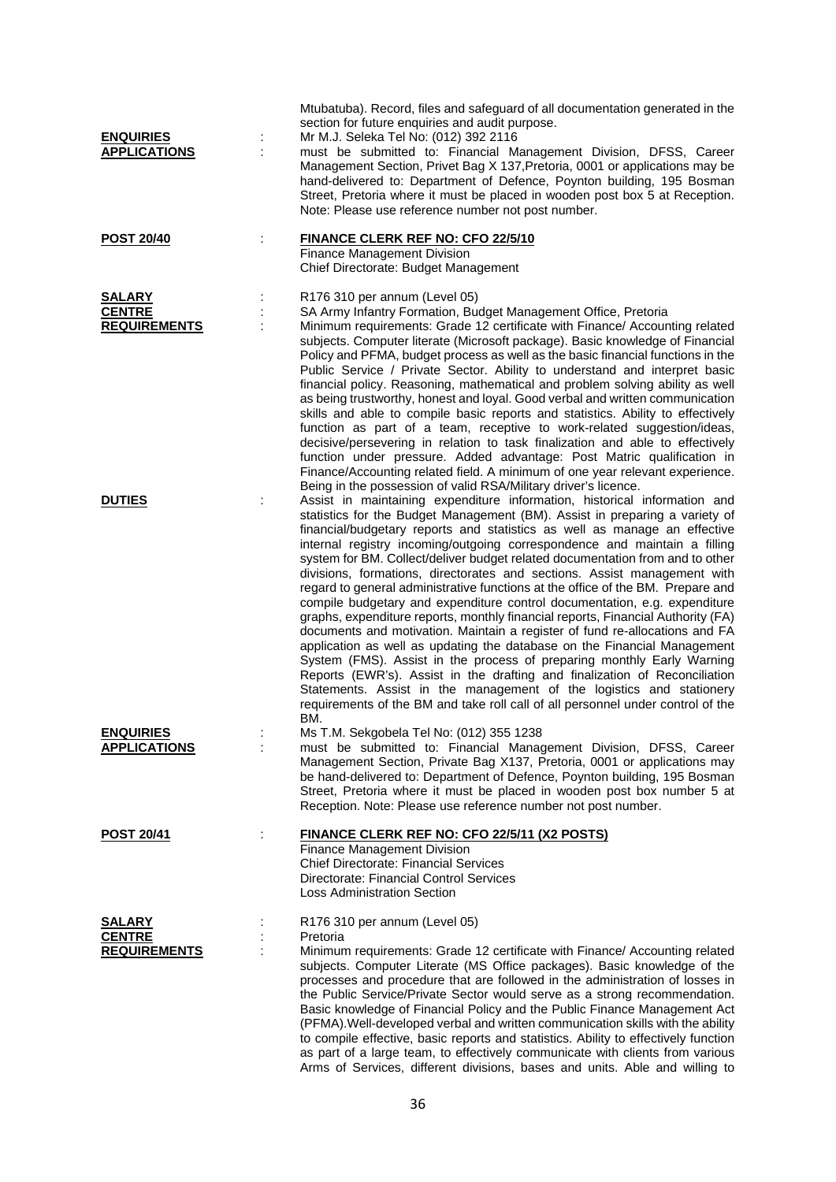| <b>ENQUIRIES</b><br><b>APPLICATIONS</b>               |   | Mtubatuba). Record, files and safeguard of all documentation generated in the<br>section for future enquiries and audit purpose.<br>Mr M.J. Seleka Tel No: (012) 392 2116<br>must be submitted to: Financial Management Division, DFSS, Career<br>Management Section, Privet Bag X 137, Pretoria, 0001 or applications may be<br>hand-delivered to: Department of Defence, Poynton building, 195 Bosman<br>Street, Pretoria where it must be placed in wooden post box 5 at Reception.<br>Note: Please use reference number not post number.                                                                                                                                                                                                                                                                                                                                                                                                                                                                                                                                                                                                                                                                                                                                                |
|-------------------------------------------------------|---|---------------------------------------------------------------------------------------------------------------------------------------------------------------------------------------------------------------------------------------------------------------------------------------------------------------------------------------------------------------------------------------------------------------------------------------------------------------------------------------------------------------------------------------------------------------------------------------------------------------------------------------------------------------------------------------------------------------------------------------------------------------------------------------------------------------------------------------------------------------------------------------------------------------------------------------------------------------------------------------------------------------------------------------------------------------------------------------------------------------------------------------------------------------------------------------------------------------------------------------------------------------------------------------------|
| <b>POST 20/40</b>                                     |   | <b>FINANCE CLERK REF NO: CFO 22/5/10</b><br>Finance Management Division<br>Chief Directorate: Budget Management                                                                                                                                                                                                                                                                                                                                                                                                                                                                                                                                                                                                                                                                                                                                                                                                                                                                                                                                                                                                                                                                                                                                                                             |
| <b>SALARY</b><br><b>CENTRE</b><br><b>REQUIREMENTS</b> |   | R176 310 per annum (Level 05)<br>SA Army Infantry Formation, Budget Management Office, Pretoria<br>Minimum requirements: Grade 12 certificate with Finance/ Accounting related<br>subjects. Computer literate (Microsoft package). Basic knowledge of Financial<br>Policy and PFMA, budget process as well as the basic financial functions in the<br>Public Service / Private Sector. Ability to understand and interpret basic<br>financial policy. Reasoning, mathematical and problem solving ability as well<br>as being trustworthy, honest and loyal. Good verbal and written communication<br>skills and able to compile basic reports and statistics. Ability to effectively<br>function as part of a team, receptive to work-related suggestion/ideas,<br>decisive/persevering in relation to task finalization and able to effectively<br>function under pressure. Added advantage: Post Matric qualification in<br>Finance/Accounting related field. A minimum of one year relevant experience.                                                                                                                                                                                                                                                                                 |
| <b>DUTIES</b>                                         |   | Being in the possession of valid RSA/Military driver's licence.<br>Assist in maintaining expenditure information, historical information and<br>statistics for the Budget Management (BM). Assist in preparing a variety of<br>financial/budgetary reports and statistics as well as manage an effective<br>internal registry incoming/outgoing correspondence and maintain a filling<br>system for BM. Collect/deliver budget related documentation from and to other<br>divisions, formations, directorates and sections. Assist management with<br>regard to general administrative functions at the office of the BM. Prepare and<br>compile budgetary and expenditure control documentation, e.g. expenditure<br>graphs, expenditure reports, monthly financial reports, Financial Authority (FA)<br>documents and motivation. Maintain a register of fund re-allocations and FA<br>application as well as updating the database on the Financial Management<br>System (FMS). Assist in the process of preparing monthly Early Warning<br>Reports (EWR's). Assist in the drafting and finalization of Reconciliation<br>Statements. Assist in the management of the logistics and stationery<br>requirements of the BM and take roll call of all personnel under control of the<br>BM. |
| <b>ENQUIRIES</b><br><b>APPLICATIONS</b>               |   | Ms T.M. Sekgobela Tel No: (012) 355 1238<br>must be submitted to: Financial Management Division, DFSS, Career<br>Management Section, Private Bag X137, Pretoria, 0001 or applications may<br>be hand-delivered to: Department of Defence, Poynton building, 195 Bosman<br>Street, Pretoria where it must be placed in wooden post box number 5 at<br>Reception. Note: Please use reference number not post number.                                                                                                                                                                                                                                                                                                                                                                                                                                                                                                                                                                                                                                                                                                                                                                                                                                                                          |
| <b>POST 20/41</b>                                     | ÷ | <b>FINANCE CLERK REF NO: CFO 22/5/11 (X2 POSTS)</b><br>Finance Management Division<br>Chief Directorate: Financial Services<br>Directorate: Financial Control Services<br><b>Loss Administration Section</b>                                                                                                                                                                                                                                                                                                                                                                                                                                                                                                                                                                                                                                                                                                                                                                                                                                                                                                                                                                                                                                                                                |
| <b>SALARY</b><br><b>CENTRE</b><br><b>REQUIREMENTS</b> |   | R176 310 per annum (Level 05)<br>Pretoria<br>Minimum requirements: Grade 12 certificate with Finance/ Accounting related<br>subjects. Computer Literate (MS Office packages). Basic knowledge of the<br>processes and procedure that are followed in the administration of losses in<br>the Public Service/Private Sector would serve as a strong recommendation.<br>Basic knowledge of Financial Policy and the Public Finance Management Act<br>(PFMA). Well-developed verbal and written communication skills with the ability<br>to compile effective, basic reports and statistics. Ability to effectively function<br>as part of a large team, to effectively communicate with clients from various<br>Arms of Services, different divisions, bases and units. Able and willing to                                                                                                                                                                                                                                                                                                                                                                                                                                                                                                    |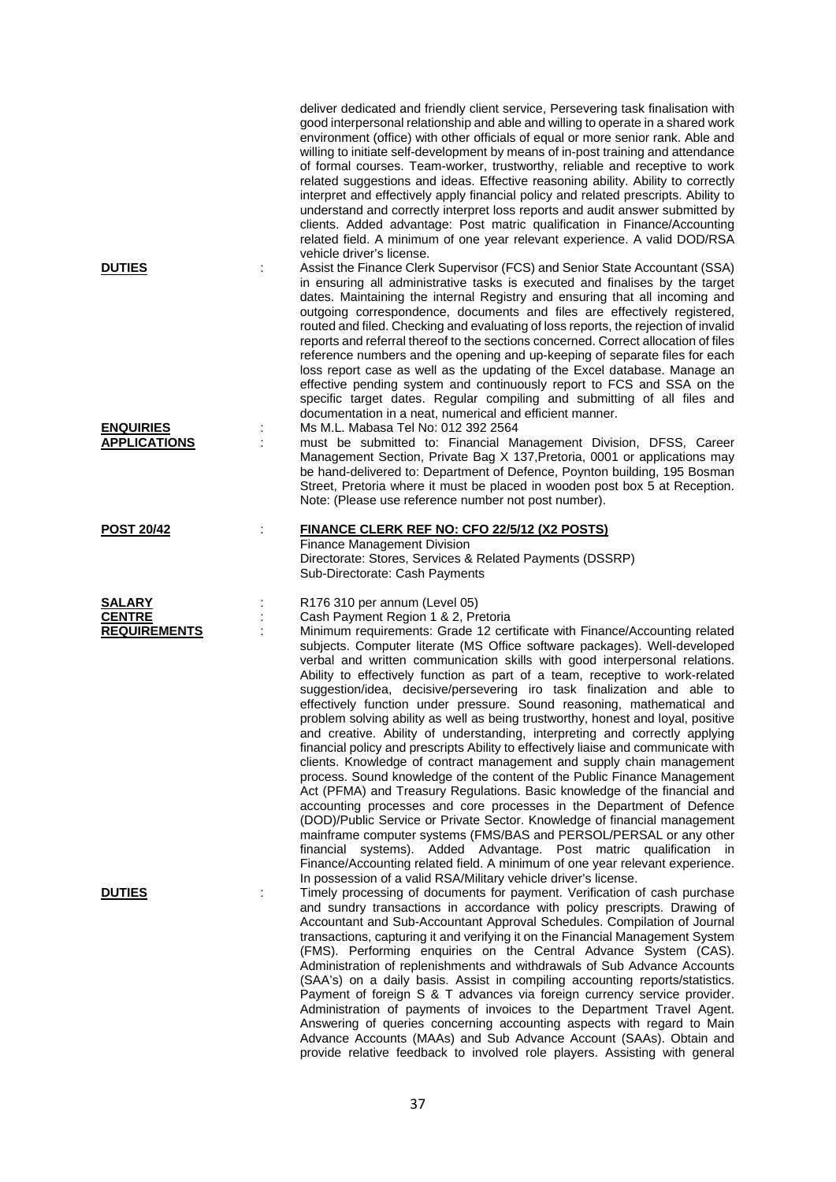|                                                |   | deliver dedicated and friendly client service, Persevering task finalisation with<br>good interpersonal relationship and able and willing to operate in a shared work<br>environment (office) with other officials of equal or more senior rank. Able and<br>willing to initiate self-development by means of in-post training and attendance<br>of formal courses. Team-worker, trustworthy, reliable and receptive to work<br>related suggestions and ideas. Effective reasoning ability. Ability to correctly<br>interpret and effectively apply financial policy and related prescripts. Ability to<br>understand and correctly interpret loss reports and audit answer submitted by<br>clients. Added advantage: Post matric qualification in Finance/Accounting<br>related field. A minimum of one year relevant experience. A valid DOD/RSA                                                                                                                                                                                                                                                                                                                                                                                                                                                                                                                                                                                                                                               |
|------------------------------------------------|---|--------------------------------------------------------------------------------------------------------------------------------------------------------------------------------------------------------------------------------------------------------------------------------------------------------------------------------------------------------------------------------------------------------------------------------------------------------------------------------------------------------------------------------------------------------------------------------------------------------------------------------------------------------------------------------------------------------------------------------------------------------------------------------------------------------------------------------------------------------------------------------------------------------------------------------------------------------------------------------------------------------------------------------------------------------------------------------------------------------------------------------------------------------------------------------------------------------------------------------------------------------------------------------------------------------------------------------------------------------------------------------------------------------------------------------------------------------------------------------------------------|
| <b>DUTIES</b>                                  | ÷ | vehicle driver's license.<br>Assist the Finance Clerk Supervisor (FCS) and Senior State Accountant (SSA)<br>in ensuring all administrative tasks is executed and finalises by the target<br>dates. Maintaining the internal Registry and ensuring that all incoming and<br>outgoing correspondence, documents and files are effectively registered,<br>routed and filed. Checking and evaluating of loss reports, the rejection of invalid<br>reports and referral thereof to the sections concerned. Correct allocation of files<br>reference numbers and the opening and up-keeping of separate files for each<br>loss report case as well as the updating of the Excel database. Manage an<br>effective pending system and continuously report to FCS and SSA on the<br>specific target dates. Regular compiling and submitting of all files and<br>documentation in a neat, numerical and efficient manner.                                                                                                                                                                                                                                                                                                                                                                                                                                                                                                                                                                                  |
| <b>ENQUIRIES</b><br><b>APPLICATIONS</b>        | ÷ | Ms M.L. Mabasa Tel No: 012 392 2564<br>must be submitted to: Financial Management Division, DFSS, Career<br>Management Section, Private Bag X 137, Pretoria, 0001 or applications may<br>be hand-delivered to: Department of Defence, Poynton building, 195 Bosman<br>Street, Pretoria where it must be placed in wooden post box 5 at Reception.<br>Note: (Please use reference number not post number).                                                                                                                                                                                                                                                                                                                                                                                                                                                                                                                                                                                                                                                                                                                                                                                                                                                                                                                                                                                                                                                                                        |
| <b>POST 20/42</b>                              |   | <b>FINANCE CLERK REF NO: CFO 22/5/12 (X2 POSTS)</b><br>Finance Management Division<br>Directorate: Stores, Services & Related Payments (DSSRP)<br>Sub-Directorate: Cash Payments                                                                                                                                                                                                                                                                                                                                                                                                                                                                                                                                                                                                                                                                                                                                                                                                                                                                                                                                                                                                                                                                                                                                                                                                                                                                                                                 |
| SALARY<br><b>CENTRE</b><br><b>REQUIREMENTS</b> | ÷ | R176 310 per annum (Level 05)<br>Cash Payment Region 1 & 2, Pretoria<br>Minimum requirements: Grade 12 certificate with Finance/Accounting related<br>subjects. Computer literate (MS Office software packages). Well-developed<br>verbal and written communication skills with good interpersonal relations.<br>Ability to effectively function as part of a team, receptive to work-related<br>suggestion/idea, decisive/persevering iro task finalization and able to<br>effectively function under pressure. Sound reasoning, mathematical and<br>problem solving ability as well as being trustworthy, honest and loyal, positive<br>and creative. Ability of understanding, interpreting and correctly applying<br>financial policy and prescripts Ability to effectively liaise and communicate with<br>clients. Knowledge of contract management and supply chain management<br>process. Sound knowledge of the content of the Public Finance Management<br>Act (PFMA) and Treasury Regulations. Basic knowledge of the financial and<br>accounting processes and core processes in the Department of Defence<br>(DOD)/Public Service or Private Sector. Knowledge of financial management<br>mainframe computer systems (FMS/BAS and PERSOL/PERSAL or any other<br>financial systems). Added Advantage. Post matric qualification in<br>Finance/Accounting related field. A minimum of one year relevant experience.<br>In possession of a valid RSA/Military vehicle driver's license. |
| <b>DUTIES</b>                                  |   | Timely processing of documents for payment. Verification of cash purchase<br>and sundry transactions in accordance with policy prescripts. Drawing of<br>Accountant and Sub-Accountant Approval Schedules. Compilation of Journal<br>transactions, capturing it and verifying it on the Financial Management System<br>(FMS). Performing enquiries on the Central Advance System (CAS).<br>Administration of replenishments and withdrawals of Sub Advance Accounts<br>(SAA's) on a daily basis. Assist in compiling accounting reports/statistics.<br>Payment of foreign S & T advances via foreign currency service provider.<br>Administration of payments of invoices to the Department Travel Agent.<br>Answering of queries concerning accounting aspects with regard to Main<br>Advance Accounts (MAAs) and Sub Advance Account (SAAs). Obtain and<br>provide relative feedback to involved role players. Assisting with general                                                                                                                                                                                                                                                                                                                                                                                                                                                                                                                                                          |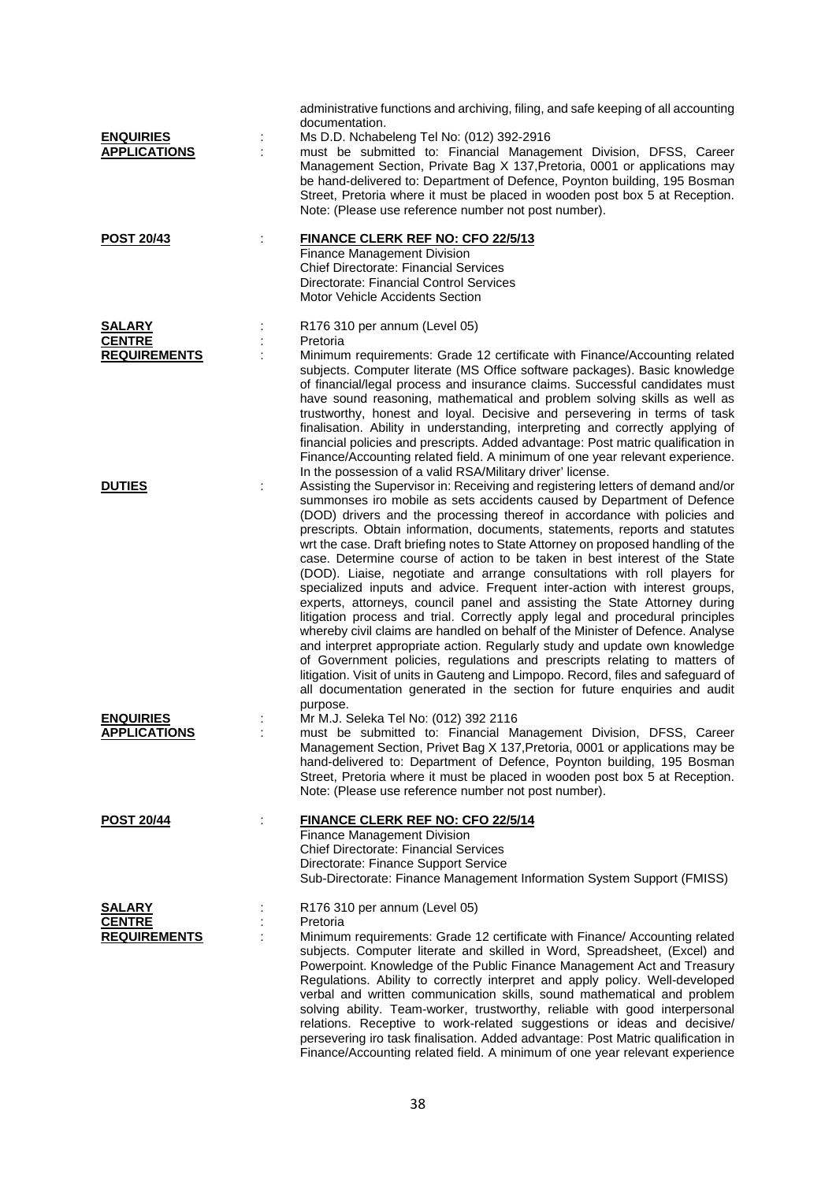| <b>ENQUIRIES</b><br><b>APPLICATIONS</b>               | ÷ | administrative functions and archiving, filing, and safe keeping of all accounting<br>documentation.<br>Ms D.D. Nchabeleng Tel No: (012) 392-2916<br>must be submitted to: Financial Management Division, DFSS, Career<br>Management Section, Private Bag X 137, Pretoria, 0001 or applications may<br>be hand-delivered to: Department of Defence, Poynton building, 195 Bosman<br>Street, Pretoria where it must be placed in wooden post box 5 at Reception.<br>Note: (Please use reference number not post number).                                                                                                                                                                                                                                                                                                                                                                                                                                                                                                                                                                                                                                                                                                                   |
|-------------------------------------------------------|---|-------------------------------------------------------------------------------------------------------------------------------------------------------------------------------------------------------------------------------------------------------------------------------------------------------------------------------------------------------------------------------------------------------------------------------------------------------------------------------------------------------------------------------------------------------------------------------------------------------------------------------------------------------------------------------------------------------------------------------------------------------------------------------------------------------------------------------------------------------------------------------------------------------------------------------------------------------------------------------------------------------------------------------------------------------------------------------------------------------------------------------------------------------------------------------------------------------------------------------------------|
| <b>POST 20/43</b>                                     |   | FINANCE CLERK REF NO: CFO 22/5/13<br>Finance Management Division<br><b>Chief Directorate: Financial Services</b><br>Directorate: Financial Control Services<br><b>Motor Vehicle Accidents Section</b>                                                                                                                                                                                                                                                                                                                                                                                                                                                                                                                                                                                                                                                                                                                                                                                                                                                                                                                                                                                                                                     |
| <b>SALARY</b><br><b>CENTRE</b><br><b>REQUIREMENTS</b> |   | R176 310 per annum (Level 05)<br>Pretoria<br>Minimum requirements: Grade 12 certificate with Finance/Accounting related<br>subjects. Computer literate (MS Office software packages). Basic knowledge<br>of financial/legal process and insurance claims. Successful candidates must<br>have sound reasoning, mathematical and problem solving skills as well as<br>trustworthy, honest and loyal. Decisive and persevering in terms of task<br>finalisation. Ability in understanding, interpreting and correctly applying of<br>financial policies and prescripts. Added advantage: Post matric qualification in<br>Finance/Accounting related field. A minimum of one year relevant experience.<br>In the possession of a valid RSA/Military driver' license.                                                                                                                                                                                                                                                                                                                                                                                                                                                                          |
| <b>DUTIES</b>                                         |   | Assisting the Supervisor in: Receiving and registering letters of demand and/or<br>summonses iro mobile as sets accidents caused by Department of Defence<br>(DOD) drivers and the processing thereof in accordance with policies and<br>prescripts. Obtain information, documents, statements, reports and statutes<br>wrt the case. Draft briefing notes to State Attorney on proposed handling of the<br>case. Determine course of action to be taken in best interest of the State<br>(DOD). Liaise, negotiate and arrange consultations with roll players for<br>specialized inputs and advice. Frequent inter-action with interest groups,<br>experts, attorneys, council panel and assisting the State Attorney during<br>litigation process and trial. Correctly apply legal and procedural principles<br>whereby civil claims are handled on behalf of the Minister of Defence. Analyse<br>and interpret appropriate action. Regularly study and update own knowledge<br>of Government policies, regulations and prescripts relating to matters of<br>litigation. Visit of units in Gauteng and Limpopo. Record, files and safeguard of<br>all documentation generated in the section for future enquiries and audit<br>purpose. |
| <b>ENQUIRIES</b><br><b>APPLICATIONS</b>               | ÷ | Mr M.J. Seleka Tel No: (012) 392 2116<br>must be submitted to: Financial Management Division, DFSS, Career<br>Management Section, Privet Bag X 137, Pretoria, 0001 or applications may be<br>hand-delivered to: Department of Defence, Poynton building, 195 Bosman<br>Street, Pretoria where it must be placed in wooden post box 5 at Reception.<br>Note: (Please use reference number not post number).                                                                                                                                                                                                                                                                                                                                                                                                                                                                                                                                                                                                                                                                                                                                                                                                                                |
| <u>POST 20/44</u>                                     | ÷ | <b>FINANCE CLERK REF NO: CFO 22/5/14</b><br>Finance Management Division<br><b>Chief Directorate: Financial Services</b><br>Directorate: Finance Support Service<br>Sub-Directorate: Finance Management Information System Support (FMISS)                                                                                                                                                                                                                                                                                                                                                                                                                                                                                                                                                                                                                                                                                                                                                                                                                                                                                                                                                                                                 |
| <b>SALARY</b><br><b>CENTRE</b><br><b>REQUIREMENTS</b> |   | R176 310 per annum (Level 05)<br>Pretoria<br>Minimum requirements: Grade 12 certificate with Finance/ Accounting related<br>subjects. Computer literate and skilled in Word, Spreadsheet, (Excel) and<br>Powerpoint. Knowledge of the Public Finance Management Act and Treasury<br>Regulations. Ability to correctly interpret and apply policy. Well-developed<br>verbal and written communication skills, sound mathematical and problem<br>solving ability. Team-worker, trustworthy, reliable with good interpersonal<br>relations. Receptive to work-related suggestions or ideas and decisive/<br>persevering iro task finalisation. Added advantage: Post Matric qualification in                                                                                                                                                                                                                                                                                                                                                                                                                                                                                                                                                 |

Finance/Accounting related field. A minimum of one year relevant experience